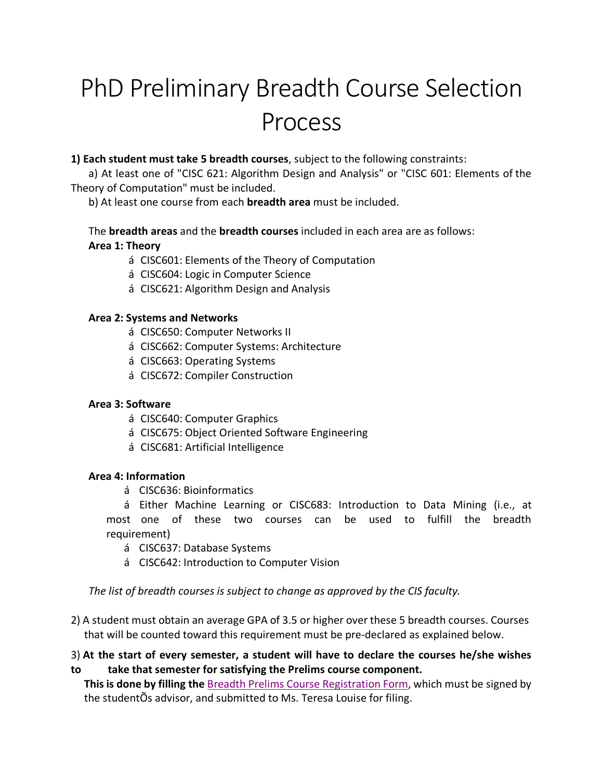# PhD Preliminary Breadth Course Selection Process

### **1) Each student must take 5 breadth courses**, subject to the following constraints:

a) At least one of "CISC 621: Algorithm Design and Analysis" or "CISC 601: Elements of the Theory of Computation" must be included.

b) At least one course from each **breadth area** must be included.

## The **breadth areas** and the **breadth courses** included in each area are as follows: **Area 1: Theory**

- á CISC601: Elements of the Theory of Computation
- á CISC604: Logic in Computer Science
- á CISC621: Algorithm Design and Analysis

#### **Area 2: Systems and Networks**

- á CISC650: Computer Networks II
- á CISC662: Computer Systems: Architecture
- á CISC663: Operating Systems
- á CISC672: Compiler Construction

#### **Area 3: Software**

- á CISC640: Computer Graphics
- á CISC675: Object Oriented Software Engineering
- á CISC681: Artificial Intelligence

#### **Area 4: Information**

á CISC636: Bioinformatics

á Either Machine Learning or CISC683: Introduction to Data Mining (i.e., at most one of these two courses can be used to fulfill the breadth requirement)

- á CISC637: Database Systems
- á CISC642: Introduction to Computer Vision

*The list of breadth courses is subject to change as approved by the CIS faculty.*

2) A student must obtain an average GPA of 3.5 or higher over these 5 breadth courses. Courses that will be counted toward this requirement must be pre-declared as explained below.

## 3) **At the start of every semester, a student will have to declare the courses he/she wishes to take that semester for satisfying the Prelims course component.**

**This is done by filling the** Breadth Prelims Course Registration Form, which must be signed by the studentÕs advisor, and submitted to Ms. Teresa Louise for filing.